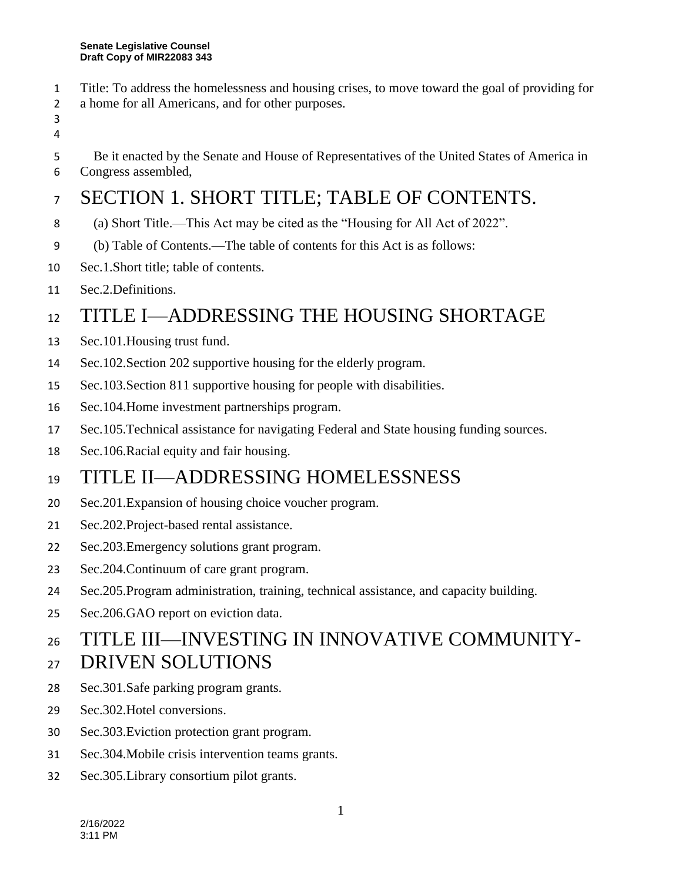- Title: To address the homelessness and housing crises, to move toward the goal of providing for
- a home for all Americans, and for other purposes.
- 
- Be it enacted by the Senate and House of Representatives of the United States of America in
- Congress assembled,

# SECTION 1. SHORT TITLE; TABLE OF CONTENTS.

- (a) Short Title.—This Act may be cited as the "Housing for All Act of 2022".
- (b) Table of Contents.—The table of contents for this Act is as follows:
- Sec.1.Short title; table of contents.
- Sec.2.Definitions.

# 12 TITLE I—ADDRESSING THE HOUSING SHORTAGE

- Sec.101.Housing trust fund.
- Sec.102.Section 202 supportive housing for the elderly program.
- Sec.103.Section 811 supportive housing for people with disabilities.
- Sec.104.Home investment partnerships program.
- Sec.105.Technical assistance for navigating Federal and State housing funding sources.
- Sec.106.Racial equity and fair housing.

# TITLE II—ADDRESSING HOMELESSNESS

- Sec.201.Expansion of housing choice voucher program.
- Sec.202.Project-based rental assistance.
- Sec.203.Emergency solutions grant program.
- Sec.204.Continuum of care grant program.
- Sec.205.Program administration, training, technical assistance, and capacity building.
- Sec.206.GAO report on eviction data.

# TITLE III—INVESTING IN INNOVATIVE COMMUNITY-

#### DRIVEN SOLUTIONS

- Sec.301.Safe parking program grants.
- Sec.302.Hotel conversions.
- Sec.303.Eviction protection grant program.
- Sec.304.Mobile crisis intervention teams grants.
- Sec.305.Library consortium pilot grants.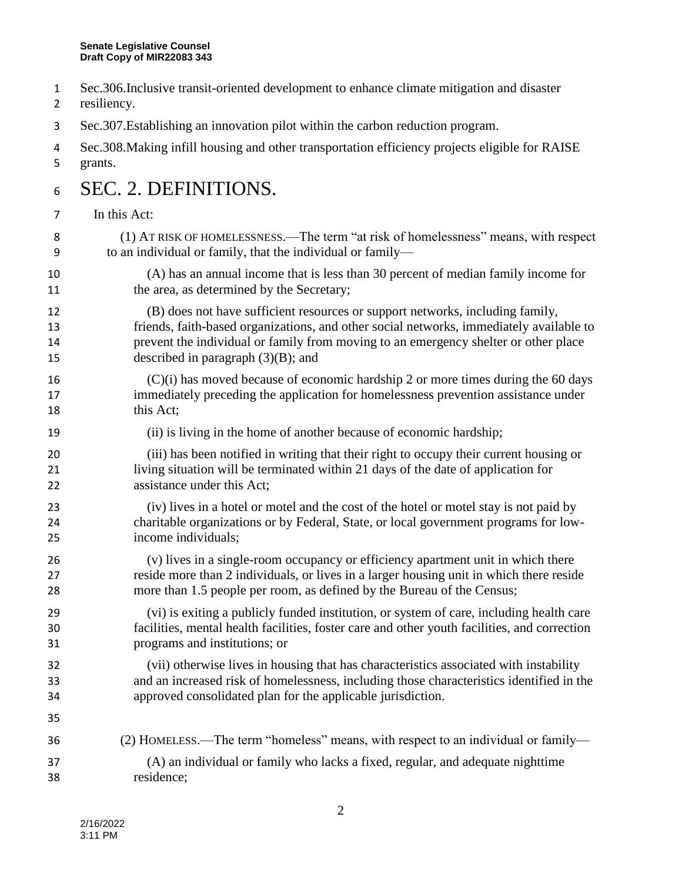- Sec.306.Inclusive transit-oriented development to enhance climate mitigation and disaster
- resiliency.
- Sec.307.Establishing an innovation pilot within the carbon reduction program.
- Sec.308.Making infill housing and other transportation efficiency projects eligible for RAISE grants.

#### 6 SEC. 2. DEFINITIONS.

#### In this Act:

- (1) AT RISK OF HOMELESSNESS.—The term "at risk of homelessness" means, with respect to an individual or family, that the individual or family—
- (A) has an annual income that is less than 30 percent of median family income for 11 the area, as determined by the Secretary;
- (B) does not have sufficient resources or support networks, including family, friends, faith-based organizations, and other social networks, immediately available to prevent the individual or family from moving to an emergency shelter or other place 15 described in paragraph (3)(B); and
- (C)(i) has moved because of economic hardship 2 or more times during the 60 days immediately preceding the application for homelessness prevention assistance under 18 this Act;
- (ii) is living in the home of another because of economic hardship;
- (iii) has been notified in writing that their right to occupy their current housing or living situation will be terminated within 21 days of the date of application for assistance under this Act;
- (iv) lives in a hotel or motel and the cost of the hotel or motel stay is not paid by charitable organizations or by Federal, State, or local government programs for low-income individuals;
- (v) lives in a single-room occupancy or efficiency apartment unit in which there reside more than 2 individuals, or lives in a larger housing unit in which there reside more than 1.5 people per room, as defined by the Bureau of the Census;
- (vi) is exiting a publicly funded institution, or system of care, including health care facilities, mental health facilities, foster care and other youth facilities, and correction programs and institutions; or
- (vii) otherwise lives in housing that has characteristics associated with instability and an increased risk of homelessness, including those characteristics identified in the approved consolidated plan for the applicable jurisdiction.
- (2) HOMELESS.—The term "homeless" means, with respect to an individual or family— (A) an individual or family who lacks a fixed, regular, and adequate nighttime residence;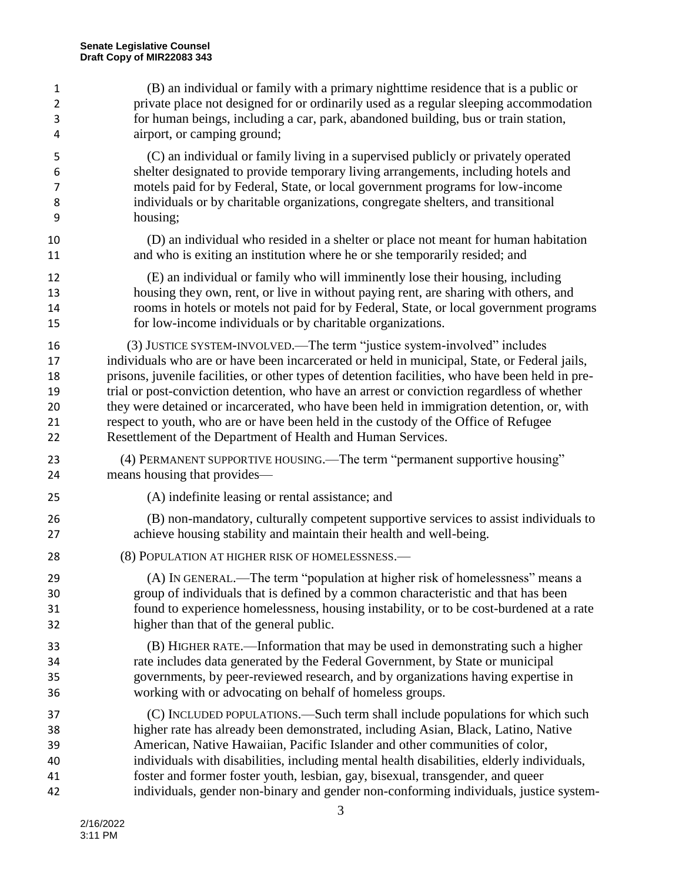| $\mathbf{1}$   | (B) an individual or family with a primary nighttime residence that is a public or               |
|----------------|--------------------------------------------------------------------------------------------------|
| $\overline{2}$ | private place not designed for or ordinarily used as a regular sleeping accommodation            |
| 3              | for human beings, including a car, park, abandoned building, bus or train station,               |
| 4              | airport, or camping ground;                                                                      |
| 5              | (C) an individual or family living in a supervised publicly or privately operated                |
| 6              | shelter designated to provide temporary living arrangements, including hotels and                |
| 7              | motels paid for by Federal, State, or local government programs for low-income                   |
| 8              | individuals or by charitable organizations, congregate shelters, and transitional                |
| 9              | housing;                                                                                         |
| 10             | (D) an individual who resided in a shelter or place not meant for human habitation               |
| 11             | and who is exiting an institution where he or she temporarily resided; and                       |
| 12             | (E) an individual or family who will imminently lose their housing, including                    |
| 13             | housing they own, rent, or live in without paying rent, are sharing with others, and             |
| 14             | rooms in hotels or motels not paid for by Federal, State, or local government programs           |
| 15             | for low-income individuals or by charitable organizations.                                       |
| 16             | (3) JUSTICE SYSTEM-INVOLVED.—The term "justice system-involved" includes                         |
| 17             | individuals who are or have been incarcerated or held in municipal, State, or Federal jails,     |
| 18             | prisons, juvenile facilities, or other types of detention facilities, who have been held in pre- |
| 19             | trial or post-conviction detention, who have an arrest or conviction regardless of whether       |
| 20             | they were detained or incarcerated, who have been held in immigration detention, or, with        |
| 21             | respect to youth, who are or have been held in the custody of the Office of Refugee              |
| 22             | Resettlement of the Department of Health and Human Services.                                     |
| 23             | (4) PERMANENT SUPPORTIVE HOUSING.—The term "permanent supportive housing"                        |
| 24             | means housing that provides—                                                                     |
| 25             | (A) indefinite leasing or rental assistance; and                                                 |
| 26             | (B) non-mandatory, culturally competent supportive services to assist individuals to             |
| 27             | achieve housing stability and maintain their health and well-being.                              |
| 28             | (8) POPULATION AT HIGHER RISK OF HOMELESSNESS.-                                                  |
| 29             | (A) IN GENERAL.—The term "population at higher risk of homelessness" means a                     |
| 30             | group of individuals that is defined by a common characteristic and that has been                |
| 31             | found to experience homelessness, housing instability, or to be cost-burdened at a rate          |
| 32             | higher than that of the general public.                                                          |
| 33             | (B) HIGHER RATE.—Information that may be used in demonstrating such a higher                     |
| 34             | rate includes data generated by the Federal Government, by State or municipal                    |
| 35             | governments, by peer-reviewed research, and by organizations having expertise in                 |
| 36             | working with or advocating on behalf of homeless groups.                                         |
| 37             | (C) INCLUDED POPULATIONS.—Such term shall include populations for which such                     |
| 38             | higher rate has already been demonstrated, including Asian, Black, Latino, Native                |
| 39             | American, Native Hawaiian, Pacific Islander and other communities of color,                      |
| 40             | individuals with disabilities, including mental health disabilities, elderly individuals,        |
| 41             | foster and former foster youth, lesbian, gay, bisexual, transgender, and queer                   |
| 42             | individuals, gender non-binary and gender non-conforming individuals, justice system-            |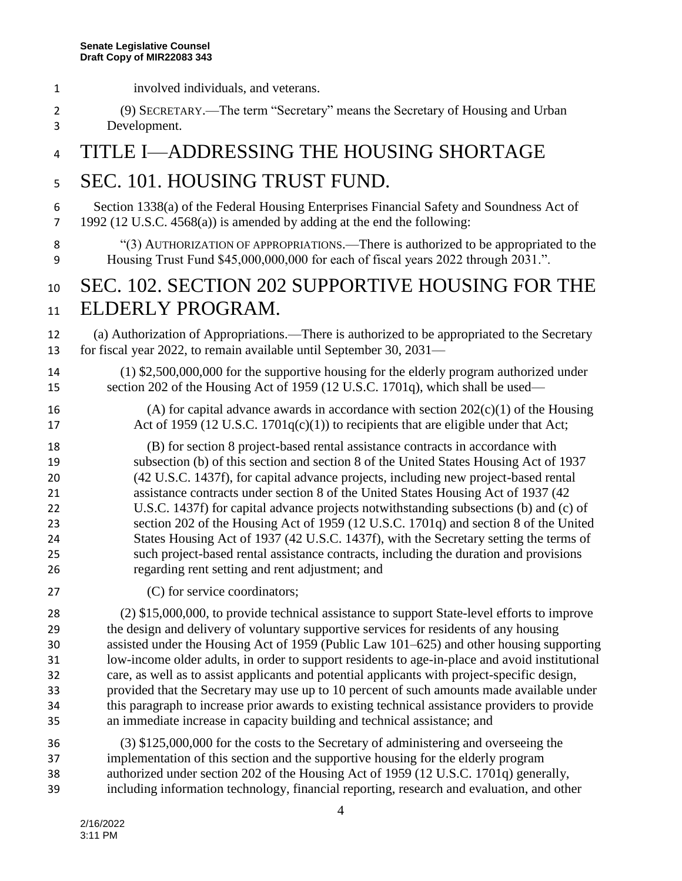involved individuals, and veterans.

 (9) SECRETARY.—The term "Secretary" means the Secretary of Housing and Urban Development. 4 TITLE I—ADDRESSING THE HOUSING SHORTAGE SEC. 101. HOUSING TRUST FUND. Section 1338(a) of the Federal Housing Enterprises Financial Safety and Soundness Act of 1992 (12 U.S.C. 4568(a)) is amended by adding at the end the following: 8 "(3) AUTHORIZATION OF APPROPRIATIONS.—There is authorized to be appropriated to the Housing Trust Fund \$45,000,000,000 for each of fiscal years 2022 through 2031.". 10 SEC. 102. SECTION 202 SUPPORTIVE HOUSING FOR THE 11 ELDERLY PROGRAM. (a) Authorization of Appropriations.—There is authorized to be appropriated to the Secretary for fiscal year 2022, to remain available until September 30, 2031— (1) \$2,500,000,000 for the supportive housing for the elderly program authorized under section 202 of the Housing Act of 1959 (12 U.S.C. 1701q), which shall be used— 16 (A) for capital advance awards in accordance with section  $202(c)(1)$  of the Housing 17 Act of 1959 (12 U.S.C. 1701q(c)(1)) to recipients that are eligible under that Act; (B) for section 8 project-based rental assistance contracts in accordance with subsection (b) of this section and section 8 of the United States Housing Act of 1937 (42 U.S.C. 1437f), for capital advance projects, including new project-based rental assistance contracts under section 8 of the United States Housing Act of 1937 (42 U.S.C. 1437f) for capital advance projects notwithstanding subsections (b) and (c) of section 202 of the Housing Act of 1959 (12 U.S.C. 1701q) and section 8 of the United States Housing Act of 1937 (42 U.S.C. 1437f), with the Secretary setting the terms of such project-based rental assistance contracts, including the duration and provisions regarding rent setting and rent adjustment; and (C) for service coordinators; (2) \$15,000,000, to provide technical assistance to support State-level efforts to improve the design and delivery of voluntary supportive services for residents of any housing assisted under the Housing Act of 1959 (Public Law 101–625) and other housing supporting low-income older adults, in order to support residents to age-in-place and avoid institutional care, as well as to assist applicants and potential applicants with project-specific design, provided that the Secretary may use up to 10 percent of such amounts made available under this paragraph to increase prior awards to existing technical assistance providers to provide an immediate increase in capacity building and technical assistance; and (3) \$125,000,000 for the costs to the Secretary of administering and overseeing the implementation of this section and the supportive housing for the elderly program authorized under section 202 of the Housing Act of 1959 (12 U.S.C. 1701q) generally, including information technology, financial reporting, research and evaluation, and other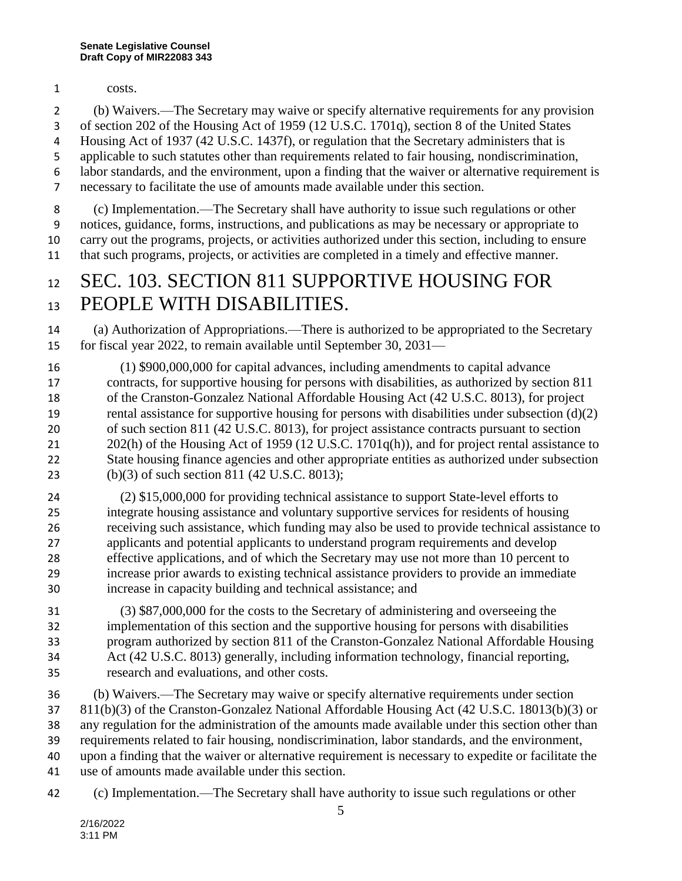costs.

 (b) Waivers.—The Secretary may waive or specify alternative requirements for any provision of section 202 of the Housing Act of 1959 (12 U.S.C. 1701q), section 8 of the United States Housing Act of 1937 (42 U.S.C. 1437f), or regulation that the Secretary administers that is applicable to such statutes other than requirements related to fair housing, nondiscrimination, labor standards, and the environment, upon a finding that the waiver or alternative requirement is necessary to facilitate the use of amounts made available under this section.

 (c) Implementation.—The Secretary shall have authority to issue such regulations or other notices, guidance, forms, instructions, and publications as may be necessary or appropriate to carry out the programs, projects, or activities authorized under this section, including to ensure that such programs, projects, or activities are completed in a timely and effective manner.

#### 12 SEC. 103. SECTION 811 SUPPORTIVE HOUSING FOR 13 PEOPLE WITH DISABILITIES.

 (a) Authorization of Appropriations.—There is authorized to be appropriated to the Secretary for fiscal year 2022, to remain available until September 30, 2031—

 (1) \$900,000,000 for capital advances, including amendments to capital advance contracts, for supportive housing for persons with disabilities, as authorized by section 811 of the Cranston-Gonzalez National Affordable Housing Act (42 U.S.C. 8013), for project rental assistance for supportive housing for persons with disabilities under subsection (d)(2) of such section 811 (42 U.S.C. 8013), for project assistance contracts pursuant to section 21 202(h) of the Housing Act of 1959 (12 U.S.C. 1701q(h)), and for project rental assistance to State housing finance agencies and other appropriate entities as authorized under subsection (b)(3) of such section 811 (42 U.S.C. 8013);

 (2) \$15,000,000 for providing technical assistance to support State-level efforts to integrate housing assistance and voluntary supportive services for residents of housing receiving such assistance, which funding may also be used to provide technical assistance to applicants and potential applicants to understand program requirements and develop effective applications, and of which the Secretary may use not more than 10 percent to increase prior awards to existing technical assistance providers to provide an immediate increase in capacity building and technical assistance; and

 (3) \$87,000,000 for the costs to the Secretary of administering and overseeing the implementation of this section and the supportive housing for persons with disabilities program authorized by section 811 of the Cranston-Gonzalez National Affordable Housing Act (42 U.S.C. 8013) generally, including information technology, financial reporting, research and evaluations, and other costs.

 (b) Waivers.—The Secretary may waive or specify alternative requirements under section 811(b)(3) of the Cranston-Gonzalez National Affordable Housing Act (42 U.S.C. 18013(b)(3) or any regulation for the administration of the amounts made available under this section other than requirements related to fair housing, nondiscrimination, labor standards, and the environment, upon a finding that the waiver or alternative requirement is necessary to expedite or facilitate the use of amounts made available under this section.

(c) Implementation.—The Secretary shall have authority to issue such regulations or other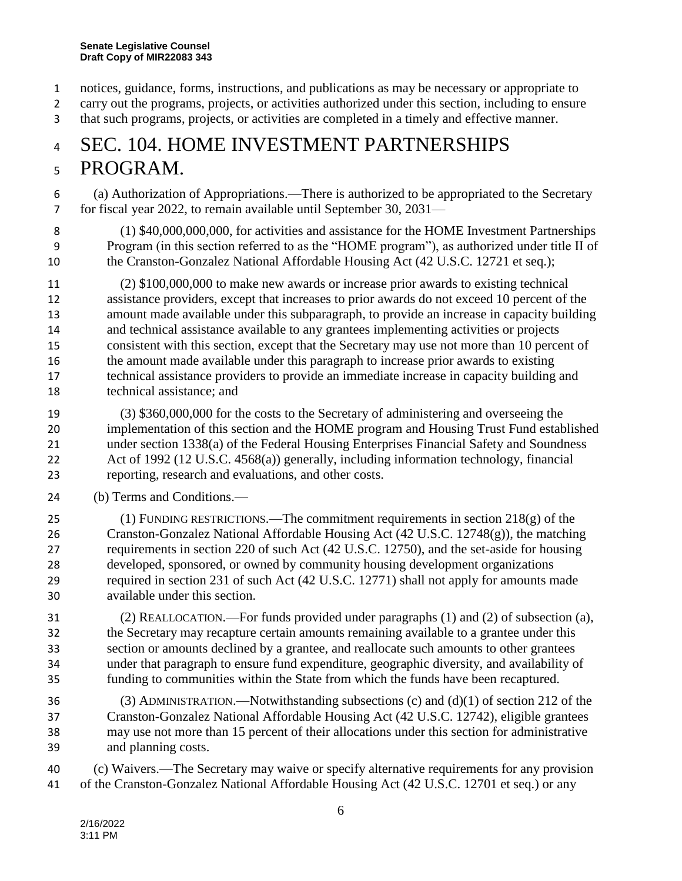- notices, guidance, forms, instructions, and publications as may be necessary or appropriate to
- carry out the programs, projects, or activities authorized under this section, including to ensure
- that such programs, projects, or activities are completed in a timely and effective manner.

#### SEC. 104. HOME INVESTMENT PARTNERSHIPS PROGRAM.

 (a) Authorization of Appropriations.—There is authorized to be appropriated to the Secretary for fiscal year 2022, to remain available until September 30, 2031—

 (1) \$40,000,000,000, for activities and assistance for the HOME Investment Partnerships Program (in this section referred to as the "HOME program"), as authorized under title II of the Cranston-Gonzalez National Affordable Housing Act (42 U.S.C. 12721 et seq.);

 (2) \$100,000,000 to make new awards or increase prior awards to existing technical assistance providers, except that increases to prior awards do not exceed 10 percent of the amount made available under this subparagraph, to provide an increase in capacity building and technical assistance available to any grantees implementing activities or projects consistent with this section, except that the Secretary may use not more than 10 percent of the amount made available under this paragraph to increase prior awards to existing technical assistance providers to provide an immediate increase in capacity building and technical assistance; and

- (3) \$360,000,000 for the costs to the Secretary of administering and overseeing the implementation of this section and the HOME program and Housing Trust Fund established under section 1338(a) of the Federal Housing Enterprises Financial Safety and Soundness Act of 1992 (12 U.S.C. 4568(a)) generally, including information technology, financial reporting, research and evaluations, and other costs.
- (b) Terms and Conditions.—

 (1) FUNDING RESTRICTIONS.—The commitment requirements in section 218(g) of the Cranston-Gonzalez National Affordable Housing Act (42 U.S.C. 12748(g)), the matching requirements in section 220 of such Act (42 U.S.C. 12750), and the set-aside for housing developed, sponsored, or owned by community housing development organizations required in section 231 of such Act (42 U.S.C. 12771) shall not apply for amounts made available under this section.

 (2) REALLOCATION.—For funds provided under paragraphs (1) and (2) of subsection (a), the Secretary may recapture certain amounts remaining available to a grantee under this section or amounts declined by a grantee, and reallocate such amounts to other grantees under that paragraph to ensure fund expenditure, geographic diversity, and availability of funding to communities within the State from which the funds have been recaptured.

 (3) ADMINISTRATION.—Notwithstanding subsections (c) and (d)(1) of section 212 of the Cranston-Gonzalez National Affordable Housing Act (42 U.S.C. 12742), eligible grantees may use not more than 15 percent of their allocations under this section for administrative and planning costs.

 (c) Waivers.—The Secretary may waive or specify alternative requirements for any provision of the Cranston-Gonzalez National Affordable Housing Act (42 U.S.C. 12701 et seq.) or any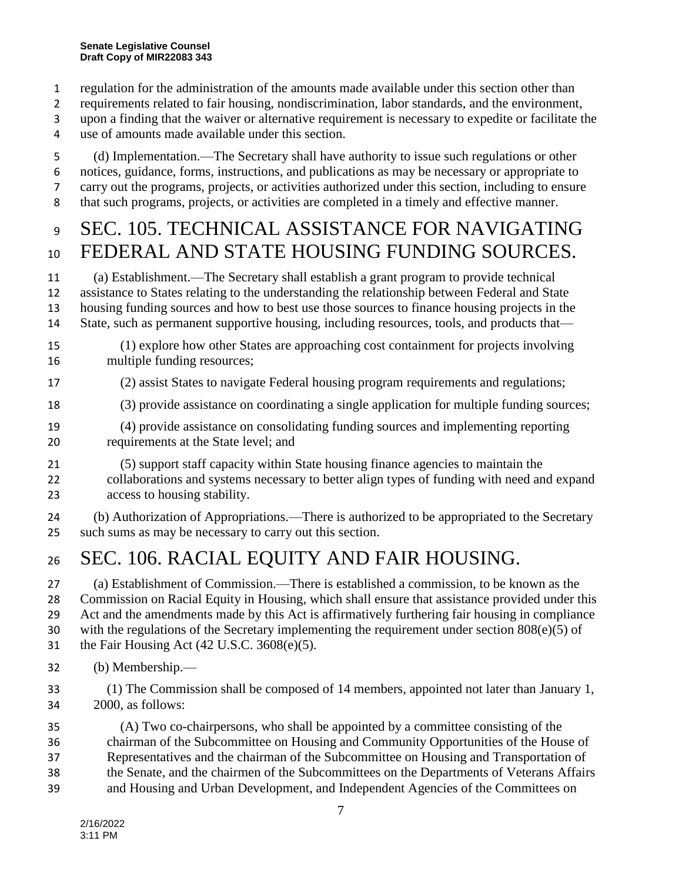- regulation for the administration of the amounts made available under this section other than
- requirements related to fair housing, nondiscrimination, labor standards, and the environment,
- upon a finding that the waiver or alternative requirement is necessary to expedite or facilitate the
- use of amounts made available under this section.
- (d) Implementation.—The Secretary shall have authority to issue such regulations or other notices, guidance, forms, instructions, and publications as may be necessary or appropriate to carry out the programs, projects, or activities authorized under this section, including to ensure that such programs, projects, or activities are completed in a timely and effective manner.

## 9 SEC. 105. TECHNICAL ASSISTANCE FOR NAVIGATING FEDERAL AND STATE HOUSING FUNDING SOURCES.

 (a) Establishment.—The Secretary shall establish a grant program to provide technical assistance to States relating to the understanding the relationship between Federal and State housing funding sources and how to best use those sources to finance housing projects in the State, such as permanent supportive housing, including resources, tools, and products that—

- (1) explore how other States are approaching cost containment for projects involving multiple funding resources;
- (2) assist States to navigate Federal housing program requirements and regulations;
- (3) provide assistance on coordinating a single application for multiple funding sources;
- (4) provide assistance on consolidating funding sources and implementing reporting requirements at the State level; and
- (5) support staff capacity within State housing finance agencies to maintain the collaborations and systems necessary to better align types of funding with need and expand access to housing stability.
- (b) Authorization of Appropriations.—There is authorized to be appropriated to the Secretary such sums as may be necessary to carry out this section.

# SEC. 106. RACIAL EQUITY AND FAIR HOUSING.

 (a) Establishment of Commission.—There is established a commission, to be known as the Commission on Racial Equity in Housing, which shall ensure that assistance provided under this Act and the amendments made by this Act is affirmatively furthering fair housing in compliance 30 with the regulations of the Secretary implementing the requirement under section  $808(e)(5)$  of the Fair Housing Act (42 U.S.C. 3608(e)(5).

- (b) Membership.—
- (1) The Commission shall be composed of 14 members, appointed not later than January 1, 2000, as follows:

 (A) Two co-chairpersons, who shall be appointed by a committee consisting of the chairman of the Subcommittee on Housing and Community Opportunities of the House of Representatives and the chairman of the Subcommittee on Housing and Transportation of the Senate, and the chairmen of the Subcommittees on the Departments of Veterans Affairs and Housing and Urban Development, and Independent Agencies of the Committees on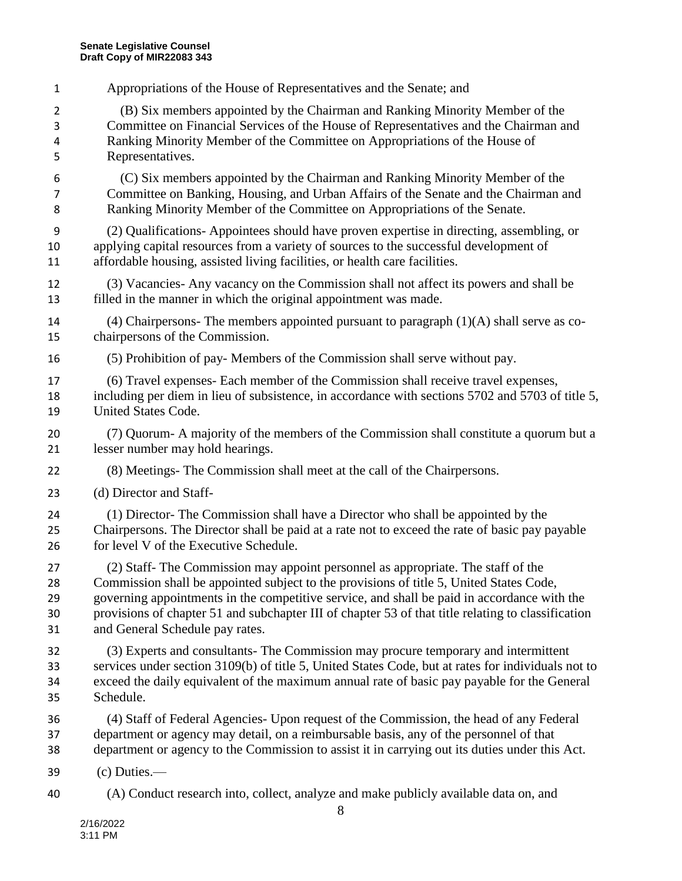Appropriations of the House of Representatives and the Senate; and

 (B) Six members appointed by the Chairman and Ranking Minority Member of the Committee on Financial Services of the House of Representatives and the Chairman and Ranking Minority Member of the Committee on Appropriations of the House of Representatives.

 (C) Six members appointed by the Chairman and Ranking Minority Member of the Committee on Banking, Housing, and Urban Affairs of the Senate and the Chairman and Ranking Minority Member of the Committee on Appropriations of the Senate.

 (2) Qualifications- Appointees should have proven expertise in directing, assembling, or applying capital resources from a variety of sources to the successful development of affordable housing, assisted living facilities, or health care facilities.

- (3) Vacancies- Any vacancy on the Commission shall not affect its powers and shall be filled in the manner in which the original appointment was made.
- 14 (4) Chairpersons- The members appointed pursuant to paragraph  $(1)(A)$  shall serve as co-chairpersons of the Commission.
- (5) Prohibition of pay- Members of the Commission shall serve without pay.
- (6) Travel expenses- Each member of the Commission shall receive travel expenses, including per diem in lieu of subsistence, in accordance with sections 5702 and 5703 of title 5, United States Code.
- (7) Quorum- A majority of the members of the Commission shall constitute a quorum but a lesser number may hold hearings.
- (8) Meetings- The Commission shall meet at the call of the Chairpersons.
- (d) Director and Staff-
- (1) Director- The Commission shall have a Director who shall be appointed by the Chairpersons. The Director shall be paid at a rate not to exceed the rate of basic pay payable for level V of the Executive Schedule.

 (2) Staff- The Commission may appoint personnel as appropriate. The staff of the Commission shall be appointed subject to the provisions of title 5, United States Code, governing appointments in the competitive service, and shall be paid in accordance with the provisions of chapter 51 and subchapter III of chapter 53 of that title relating to classification and General Schedule pay rates.

- (3) Experts and consultants- The Commission may procure temporary and intermittent services under section 3109(b) of title 5, United States Code, but at rates for individuals not to exceed the daily equivalent of the maximum annual rate of basic pay payable for the General Schedule.
- (4) Staff of Federal Agencies- Upon request of the Commission, the head of any Federal department or agency may detail, on a reimbursable basis, any of the personnel of that department or agency to the Commission to assist it in carrying out its duties under this Act.
- (c) Duties.—
- (A) Conduct research into, collect, analyze and make publicly available data on, and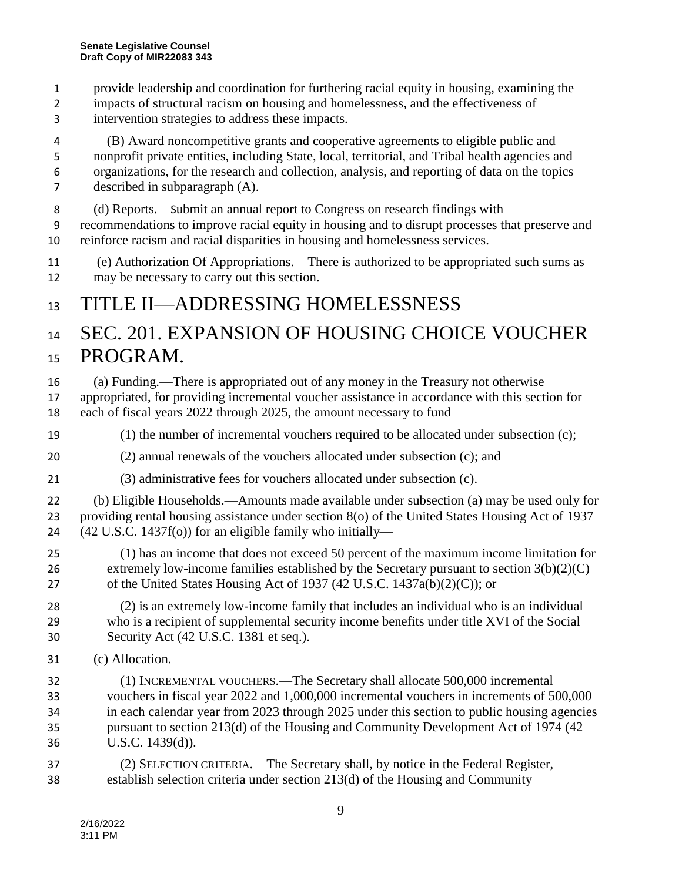- provide leadership and coordination for furthering racial equity in housing, examining the
- impacts of structural racism on housing and homelessness, and the effectiveness of intervention strategies to address these impacts.
- (B) Award noncompetitive grants and cooperative agreements to eligible public and nonprofit private entities, including State, local, territorial, and Tribal health agencies and organizations, for the research and collection, analysis, and reporting of data on the topics described in subparagraph (A).
- (d) Reports.—Submit an annual report to Congress on research findings with
- recommendations to improve racial equity in housing and to disrupt processes that preserve and reinforce racism and racial disparities in housing and homelessness services.
- (e) Authorization Of Appropriations.—There is authorized to be appropriated such sums as may be necessary to carry out this section.

#### TITLE II—ADDRESSING HOMELESSNESS

SEC. 201. EXPANSION OF HOUSING CHOICE VOUCHER

#### PROGRAM.

- (a) Funding.—There is appropriated out of any money in the Treasury not otherwise
- appropriated, for providing incremental voucher assistance in accordance with this section for each of fiscal years 2022 through 2025, the amount necessary to fund—
- (1) the number of incremental vouchers required to be allocated under subsection (c);
- (2) annual renewals of the vouchers allocated under subsection (c); and
- (3) administrative fees for vouchers allocated under subsection (c).
- (b) Eligible Households.—Amounts made available under subsection (a) may be used only for providing rental housing assistance under section 8(o) of the United States Housing Act of 1937 (42 U.S.C. 1437f(o)) for an eligible family who initially—
- (1) has an income that does not exceed 50 percent of the maximum income limitation for extremely low-income families established by the Secretary pursuant to section 3(b)(2)(C) of the United States Housing Act of 1937 (42 U.S.C. 1437a(b)(2)(C)); or
- (2) is an extremely low-income family that includes an individual who is an individual who is a recipient of supplemental security income benefits under title XVI of the Social Security Act (42 U.S.C. 1381 et seq.).
- (c) Allocation.—
- (1) INCREMENTAL VOUCHERS.—The Secretary shall allocate 500,000 incremental vouchers in fiscal year 2022 and 1,000,000 incremental vouchers in increments of 500,000 in each calendar year from 2023 through 2025 under this section to public housing agencies pursuant to section 213(d) of the Housing and Community Development Act of 1974 (42 U.S.C. 1439(d)).
- (2) SELECTION CRITERIA.—The Secretary shall, by notice in the Federal Register, establish selection criteria under section 213(d) of the Housing and Community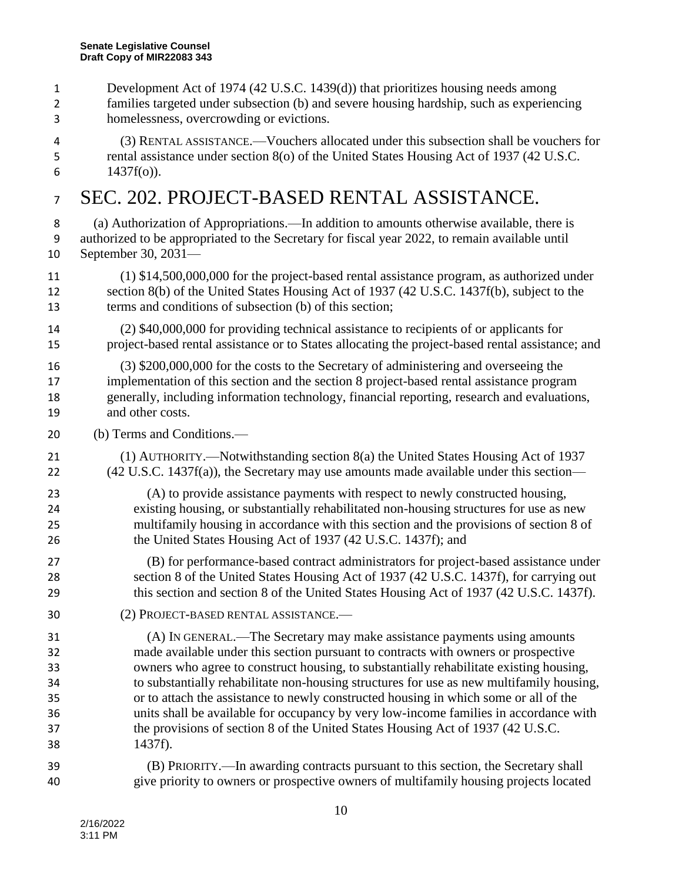- Development Act of 1974 (42 U.S.C. 1439(d)) that prioritizes housing needs among
- families targeted under subsection (b) and severe housing hardship, such as experiencing homelessness, overcrowding or evictions.
- (3) RENTAL ASSISTANCE.—Vouchers allocated under this subsection shall be vouchers for rental assistance under section 8(o) of the United States Housing Act of 1937 (42 U.S.C. 6  $1437f(o)$ ).

#### SEC. 202. PROJECT-BASED RENTAL ASSISTANCE.

 (a) Authorization of Appropriations.—In addition to amounts otherwise available, there is authorized to be appropriated to the Secretary for fiscal year 2022, to remain available until September 30, 2031—

- (1) \$14,500,000,000 for the project-based rental assistance program, as authorized under section 8(b) of the United States Housing Act of 1937 (42 U.S.C. 1437f(b), subject to the terms and conditions of subsection (b) of this section;
- (2) \$40,000,000 for providing technical assistance to recipients of or applicants for project-based rental assistance or to States allocating the project-based rental assistance; and
- (3) \$200,000,000 for the costs to the Secretary of administering and overseeing the implementation of this section and the section 8 project-based rental assistance program generally, including information technology, financial reporting, research and evaluations, and other costs.
- (b) Terms and Conditions.—
- (1) AUTHORITY.—Notwithstanding section 8(a) the United States Housing Act of 1937 (42 U.S.C. 1437f(a)), the Secretary may use amounts made available under this section—
- (A) to provide assistance payments with respect to newly constructed housing, existing housing, or substantially rehabilitated non-housing structures for use as new multifamily housing in accordance with this section and the provisions of section 8 of 26 the United States Housing Act of 1937 (42 U.S.C. 1437f); and
- (B) for performance-based contract administrators for project-based assistance under section 8 of the United States Housing Act of 1937 (42 U.S.C. 1437f), for carrying out this section and section 8 of the United States Housing Act of 1937 (42 U.S.C. 1437f).
- (2) PROJECT-BASED RENTAL ASSISTANCE.—
- (A) IN GENERAL.—The Secretary may make assistance payments using amounts made available under this section pursuant to contracts with owners or prospective owners who agree to construct housing, to substantially rehabilitate existing housing, to substantially rehabilitate non-housing structures for use as new multifamily housing, or to attach the assistance to newly constructed housing in which some or all of the units shall be available for occupancy by very low-income families in accordance with the provisions of section 8 of the United States Housing Act of 1937 (42 U.S.C. 1437f).
- (B) PRIORITY.—In awarding contracts pursuant to this section, the Secretary shall give priority to owners or prospective owners of multifamily housing projects located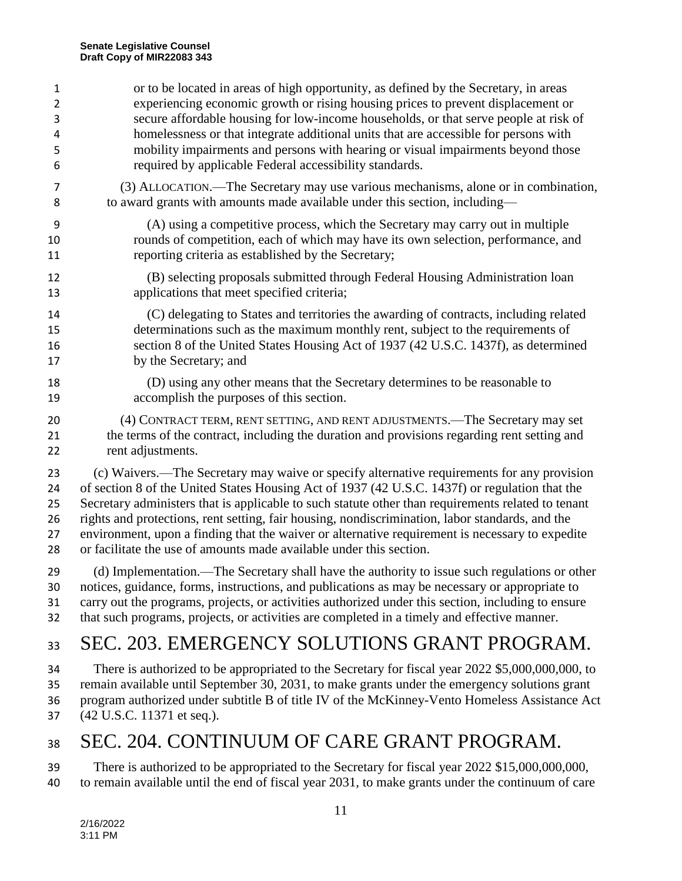| $\mathbf{1}$   | or to be located in areas of high opportunity, as defined by the Secretary, in areas               |
|----------------|----------------------------------------------------------------------------------------------------|
| $\overline{2}$ | experiencing economic growth or rising housing prices to prevent displacement or                   |
| 3              | secure affordable housing for low-income households, or that serve people at risk of               |
| 4              | homelessness or that integrate additional units that are accessible for persons with               |
| 5              | mobility impairments and persons with hearing or visual impairments beyond those                   |
| 6              | required by applicable Federal accessibility standards.                                            |
| 7              | (3) ALLOCATION.—The Secretary may use various mechanisms, alone or in combination,                 |
| 8              | to award grants with amounts made available under this section, including—                         |
| 9              | (A) using a competitive process, which the Secretary may carry out in multiple                     |
| 10             | rounds of competition, each of which may have its own selection, performance, and                  |
| 11             | reporting criteria as established by the Secretary;                                                |
| 12             | (B) selecting proposals submitted through Federal Housing Administration loan                      |
| 13             | applications that meet specified criteria;                                                         |
| 14             | (C) delegating to States and territories the awarding of contracts, including related              |
| 15             | determinations such as the maximum monthly rent, subject to the requirements of                    |
| 16             | section 8 of the United States Housing Act of 1937 (42 U.S.C. 1437f), as determined                |
| 17             | by the Secretary; and                                                                              |
| 18             | (D) using any other means that the Secretary determines to be reasonable to                        |
| 19             | accomplish the purposes of this section.                                                           |
| 20             | (4) CONTRACT TERM, RENT SETTING, AND RENT ADJUSTMENTS.—The Secretary may set                       |
| 21             | the terms of the contract, including the duration and provisions regarding rent setting and        |
| 22             | rent adjustments.                                                                                  |
| 23             | (c) Waivers.—The Secretary may waive or specify alternative requirements for any provision         |
| 24             | of section 8 of the United States Housing Act of 1937 (42 U.S.C. 1437f) or regulation that the     |
| 25             | Secretary administers that is applicable to such statute other than requirements related to tenant |
| 26             | rights and protections, rent setting, fair housing, nondiscrimination, labor standards, and the    |
| 27             | environment, upon a finding that the waiver or alternative requirement is necessary to expedite    |
| 28             | or facilitate the use of amounts made available under this section.                                |
| 29             | (d) Implementation.—The Secretary shall have the authority to issue such regulations or other      |
| 30             | notices, guidance, forms, instructions, and publications as may be necessary or appropriate to     |
| 31             | carry out the programs, projects, or activities authorized under this section, including to ensure |
| 32             | that such programs, projects, or activities are completed in a timely and effective manner.        |
| 33             | SEC. 203. EMERGENCY SOLUTIONS GRANT PROGRAM.                                                       |
| 34             | There is authorized to be appropriated to the Secretary for fiscal year 2022 \$5,000,000,000, to   |
| 35             | remain available until September 30, 2031, to make grants under the emergency solutions grant      |
| 36             | program authorized under subtitle B of title IV of the McKinney-Vento Homeless Assistance Act      |

(42 U.S.C. 11371 et seq.).

### 38 SEC. 204. CONTINUUM OF CARE GRANT PROGRAM.

39 There is authorized to be appropriated to the Secretary for fiscal year 2022 \$15,000,000,000, to remain available until the end of fiscal year 2031, to make grants under the continuum of care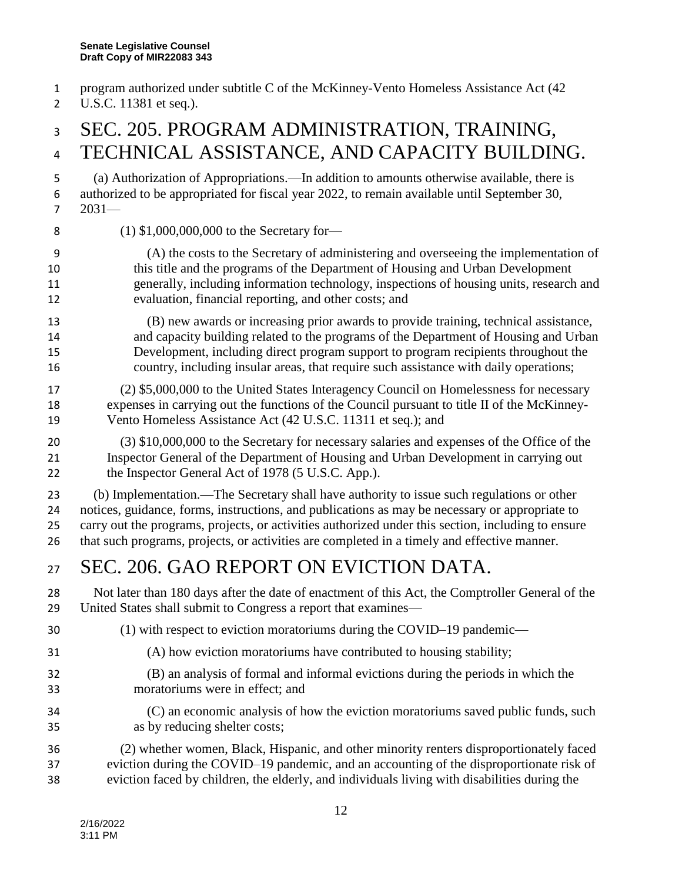- program authorized under subtitle C of the McKinney-Vento Homeless Assistance Act (42
- 2 U.S.C. 11381 et seq.).

#### SEC. 205. PROGRAM ADMINISTRATION, TRAINING, 4 TECHNICAL ASSISTANCE, AND CAPACITY BUILDING.

 (a) Authorization of Appropriations.—In addition to amounts otherwise available, there is authorized to be appropriated for fiscal year 2022, to remain available until September 30, 2031—

(1) \$1,000,000,000 to the Secretary for—

- (A) the costs to the Secretary of administering and overseeing the implementation of this title and the programs of the Department of Housing and Urban Development generally, including information technology, inspections of housing units, research and evaluation, financial reporting, and other costs; and
- (B) new awards or increasing prior awards to provide training, technical assistance, and capacity building related to the programs of the Department of Housing and Urban Development, including direct program support to program recipients throughout the country, including insular areas, that require such assistance with daily operations;
- (2) \$5,000,000 to the United States Interagency Council on Homelessness for necessary expenses in carrying out the functions of the Council pursuant to title II of the McKinney-Vento Homeless Assistance Act (42 U.S.C. 11311 et seq.); and
- (3) \$10,000,000 to the Secretary for necessary salaries and expenses of the Office of the Inspector General of the Department of Housing and Urban Development in carrying out 22 the Inspector General Act of 1978 (5 U.S.C. App.).

 (b) Implementation.—The Secretary shall have authority to issue such regulations or other notices, guidance, forms, instructions, and publications as may be necessary or appropriate to carry out the programs, projects, or activities authorized under this section, including to ensure

#### that such programs, projects, or activities are completed in a timely and effective manner.

### 27 SEC. 206, GAO REPORT ON EVICTION DATA.

- Not later than 180 days after the date of enactment of this Act, the Comptroller General of the United States shall submit to Congress a report that examines—
- (1) with respect to eviction moratoriums during the COVID–19 pandemic—
- (A) how eviction moratoriums have contributed to housing stability;
- (B) an analysis of formal and informal evictions during the periods in which the moratoriums were in effect; and
- (C) an economic analysis of how the eviction moratoriums saved public funds, such as by reducing shelter costs;
- (2) whether women, Black, Hispanic, and other minority renters disproportionately faced eviction during the COVID–19 pandemic, and an accounting of the disproportionate risk of eviction faced by children, the elderly, and individuals living with disabilities during the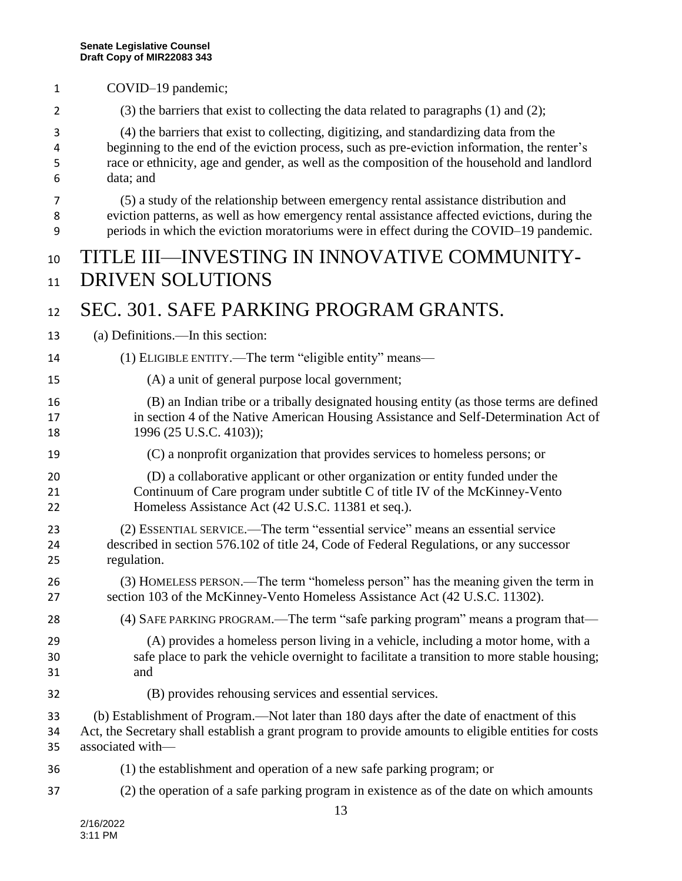- COVID–19 pandemic; (3) the barriers that exist to collecting the data related to paragraphs (1) and (2); (4) the barriers that exist to collecting, digitizing, and standardizing data from the beginning to the end of the eviction process, such as pre-eviction information, the renter's race or ethnicity, age and gender, as well as the composition of the household and landlord
	- data; and (5) a study of the relationship between emergency rental assistance distribution and eviction patterns, as well as how emergency rental assistance affected evictions, during the
	- periods in which the eviction moratoriums were in effect during the COVID–19 pandemic.

#### TITLE III—INVESTING IN INNOVATIVE COMMUNITY-11 DRIVEN SOLUTIONS

#### SEC. 301. SAFE PARKING PROGRAM GRANTS.

- (a) Definitions.—In this section:
- (1) ELIGIBLE ENTITY.—The term "eligible entity" means—
- (A) a unit of general purpose local government;
- (B) an Indian tribe or a tribally designated housing entity (as those terms are defined in section 4 of the Native American Housing Assistance and Self-Determination Act of 18 1996 (25 U.S.C. 4103));
- (C) a nonprofit organization that provides services to homeless persons; or
- (D) a collaborative applicant or other organization or entity funded under the Continuum of Care program under subtitle C of title IV of the McKinney-Vento Homeless Assistance Act (42 U.S.C. 11381 et seq.).
- (2) ESSENTIAL SERVICE.—The term "essential service" means an essential service described in section 576.102 of title 24, Code of Federal Regulations, or any successor regulation.
- (3) HOMELESS PERSON.—The term "homeless person" has the meaning given the term in section 103 of the McKinney-Vento Homeless Assistance Act (42 U.S.C. 11302).
- (4) SAFE PARKING PROGRAM.—The term "safe parking program" means a program that—
- (A) provides a homeless person living in a vehicle, including a motor home, with a safe place to park the vehicle overnight to facilitate a transition to more stable housing; and
- (B) provides rehousing services and essential services.
- (b) Establishment of Program.—Not later than 180 days after the date of enactment of this Act, the Secretary shall establish a grant program to provide amounts to eligible entities for costs associated with—
- (1) the establishment and operation of a new safe parking program; or
- (2) the operation of a safe parking program in existence as of the date on which amounts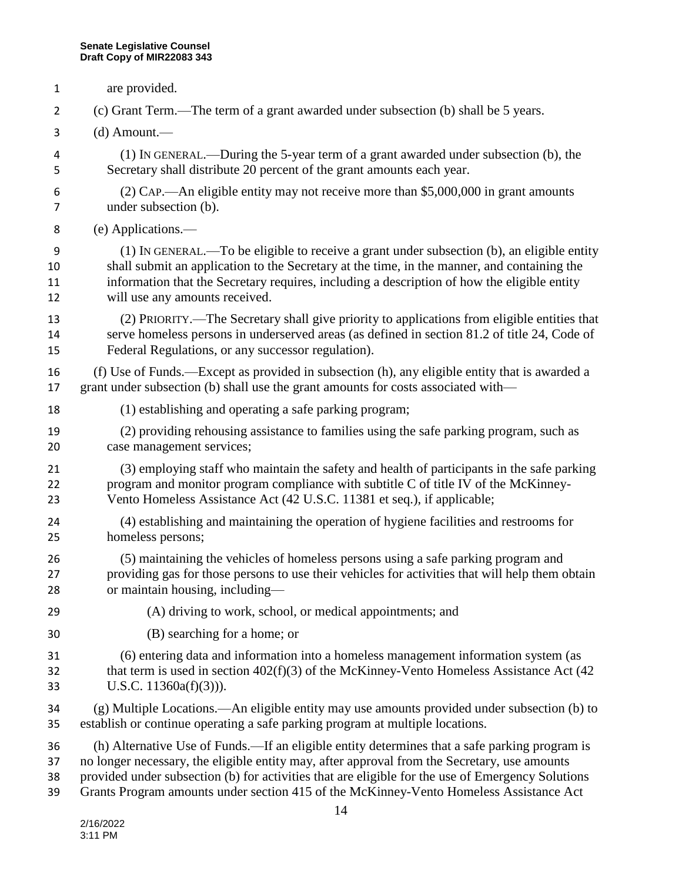are provided. (c) Grant Term.—The term of a grant awarded under subsection (b) shall be 5 years. (d) Amount.— (1) IN GENERAL.—During the 5-year term of a grant awarded under subsection (b), the Secretary shall distribute 20 percent of the grant amounts each year. (2) CAP.—An eligible entity may not receive more than \$5,000,000 in grant amounts under subsection (b). (e) Applications.— (1) IN GENERAL.—To be eligible to receive a grant under subsection (b), an eligible entity shall submit an application to the Secretary at the time, in the manner, and containing the information that the Secretary requires, including a description of how the eligible entity will use any amounts received. (2) PRIORITY.—The Secretary shall give priority to applications from eligible entities that serve homeless persons in underserved areas (as defined in section 81.2 of title 24, Code of Federal Regulations, or any successor regulation). (f) Use of Funds.—Except as provided in subsection (h), any eligible entity that is awarded a grant under subsection (b) shall use the grant amounts for costs associated with— (1) establishing and operating a safe parking program; (2) providing rehousing assistance to families using the safe parking program, such as case management services; (3) employing staff who maintain the safety and health of participants in the safe parking program and monitor program compliance with subtitle C of title IV of the McKinney- Vento Homeless Assistance Act (42 U.S.C. 11381 et seq.), if applicable; (4) establishing and maintaining the operation of hygiene facilities and restrooms for homeless persons; (5) maintaining the vehicles of homeless persons using a safe parking program and providing gas for those persons to use their vehicles for activities that will help them obtain or maintain housing, including— (A) driving to work, school, or medical appointments; and (B) searching for a home; or (6) entering data and information into a homeless management information system (as 32 that term is used in section 402(f)(3) of the McKinney-Vento Homeless Assistance Act (42 U.S.C. 11360a(f)(3))). (g) Multiple Locations.—An eligible entity may use amounts provided under subsection (b) to establish or continue operating a safe parking program at multiple locations. (h) Alternative Use of Funds.—If an eligible entity determines that a safe parking program is no longer necessary, the eligible entity may, after approval from the Secretary, use amounts provided under subsection (b) for activities that are eligible for the use of Emergency Solutions Grants Program amounts under section 415 of the McKinney-Vento Homeless Assistance Act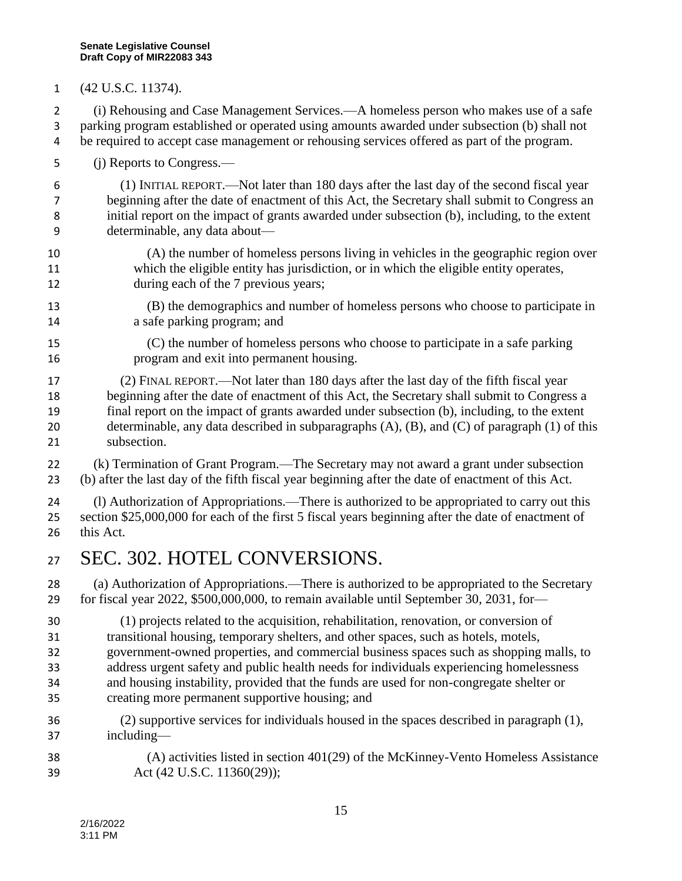(42 U.S.C. 11374).

 (i) Rehousing and Case Management Services.—A homeless person who makes use of a safe parking program established or operated using amounts awarded under subsection (b) shall not 4 be required to accept case management or rehousing services offered as part of the program.

(j) Reports to Congress.—

 (1) INITIAL REPORT.—Not later than 180 days after the last day of the second fiscal year beginning after the date of enactment of this Act, the Secretary shall submit to Congress an initial report on the impact of grants awarded under subsection (b), including, to the extent determinable, any data about—

- (A) the number of homeless persons living in vehicles in the geographic region over which the eligible entity has jurisdiction, or in which the eligible entity operates, 12 during each of the 7 previous years;
- (B) the demographics and number of homeless persons who choose to participate in a safe parking program; and
- (C) the number of homeless persons who choose to participate in a safe parking program and exit into permanent housing.

 (2) FINAL REPORT.—Not later than 180 days after the last day of the fifth fiscal year beginning after the date of enactment of this Act, the Secretary shall submit to Congress a final report on the impact of grants awarded under subsection (b), including, to the extent determinable, any data described in subparagraphs (A), (B), and (C) of paragraph (1) of this subsection.

 (k) Termination of Grant Program.—The Secretary may not award a grant under subsection (b) after the last day of the fifth fiscal year beginning after the date of enactment of this Act.

 (l) Authorization of Appropriations.—There is authorized to be appropriated to carry out this section \$25,000,000 for each of the first 5 fiscal years beginning after the date of enactment of this Act.

SEC. 302. HOTEL CONVERSIONS.

 (a) Authorization of Appropriations.—There is authorized to be appropriated to the Secretary for fiscal year 2022, \$500,000,000, to remain available until September 30, 2031, for—

 (1) projects related to the acquisition, rehabilitation, renovation, or conversion of transitional housing, temporary shelters, and other spaces, such as hotels, motels, government-owned properties, and commercial business spaces such as shopping malls, to address urgent safety and public health needs for individuals experiencing homelessness and housing instability, provided that the funds are used for non-congregate shelter or creating more permanent supportive housing; and

- (2) supportive services for individuals housed in the spaces described in paragraph (1), including—
- (A) activities listed in section 401(29) of the McKinney-Vento Homeless Assistance Act (42 U.S.C. 11360(29));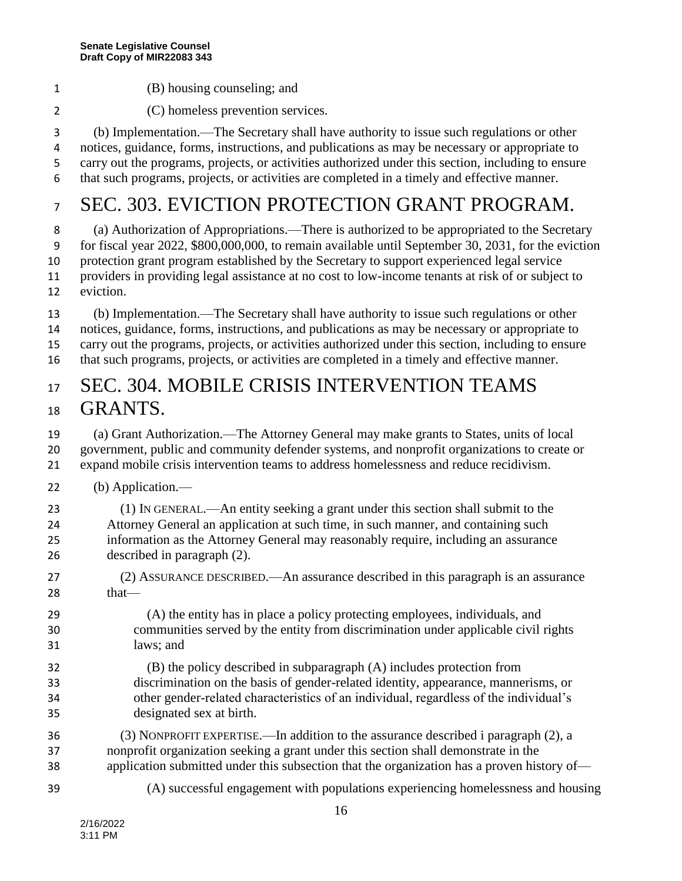- (B) housing counseling; and
- (C) homeless prevention services.

 (b) Implementation.—The Secretary shall have authority to issue such regulations or other notices, guidance, forms, instructions, and publications as may be necessary or appropriate to carry out the programs, projects, or activities authorized under this section, including to ensure that such programs, projects, or activities are completed in a timely and effective manner.

### SEC. 303. EVICTION PROTECTION GRANT PROGRAM.

 (a) Authorization of Appropriations.—There is authorized to be appropriated to the Secretary for fiscal year 2022, \$800,000,000, to remain available until September 30, 2031, for the eviction protection grant program established by the Secretary to support experienced legal service providers in providing legal assistance at no cost to low-income tenants at risk of or subject to eviction.

 (b) Implementation.—The Secretary shall have authority to issue such regulations or other notices, guidance, forms, instructions, and publications as may be necessary or appropriate to carry out the programs, projects, or activities authorized under this section, including to ensure that such programs, projects, or activities are completed in a timely and effective manner.

#### 17 SEC. 304. MOBILE CRISIS INTERVENTION TEAMS GRANTS.

 (a) Grant Authorization.—The Attorney General may make grants to States, units of local government, public and community defender systems, and nonprofit organizations to create or expand mobile crisis intervention teams to address homelessness and reduce recidivism.

- (b) Application.—
- (1) IN GENERAL.—An entity seeking a grant under this section shall submit to the Attorney General an application at such time, in such manner, and containing such information as the Attorney General may reasonably require, including an assurance described in paragraph (2).
- (2) ASSURANCE DESCRIBED.—An assurance described in this paragraph is an assurance that
- (A) the entity has in place a policy protecting employees, individuals, and communities served by the entity from discrimination under applicable civil rights laws; and
- (B) the policy described in subparagraph (A) includes protection from discrimination on the basis of gender-related identity, appearance, mannerisms, or other gender-related characteristics of an individual, regardless of the individual's designated sex at birth.
- (3) NONPROFIT EXPERTISE.—In addition to the assurance described i paragraph (2), a nonprofit organization seeking a grant under this section shall demonstrate in the application submitted under this subsection that the organization has a proven history of—
- 
- (A) successful engagement with populations experiencing homelessness and housing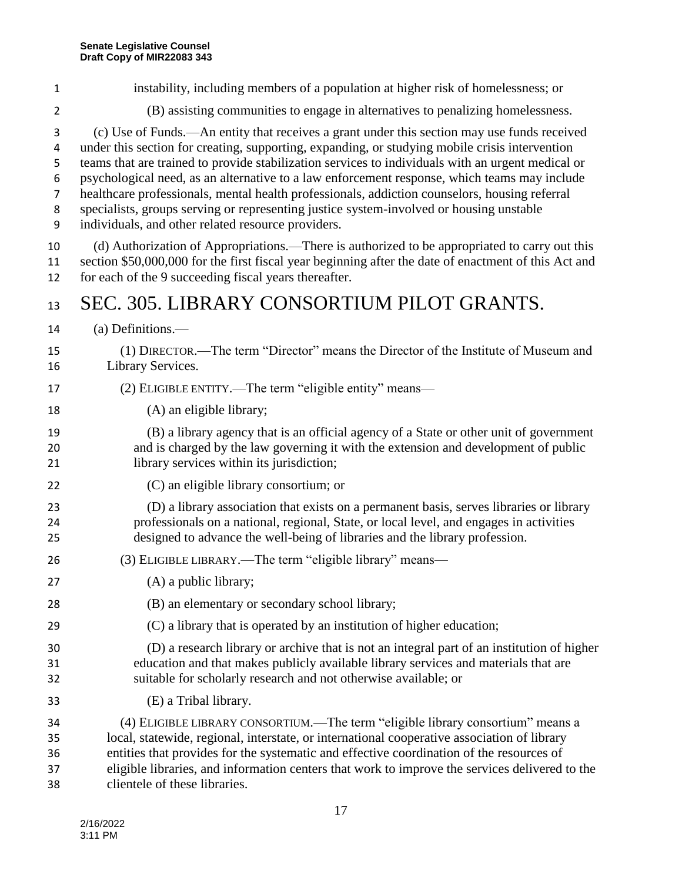(c) Use of Funds.—An entity that receives a grant under this section may use funds received under this section for creating, supporting, expanding, or studying mobile crisis intervention teams that are trained to provide stabilization services to individuals with an urgent medical or psychological need, as an alternative to a law enforcement response, which teams may include healthcare professionals, mental health professionals, addiction counselors, housing referral specialists, groups serving or representing justice system-involved or housing unstable individuals, and other related resource providers. (d) Authorization of Appropriations.—There is authorized to be appropriated to carry out this section \$50,000,000 for the first fiscal year beginning after the date of enactment of this Act and for each of the 9 succeeding fiscal years thereafter. 13 SEC. 305. LIBRARY CONSORTIUM PILOT GRANTS. (a) Definitions.— (1) DIRECTOR.—The term "Director" means the Director of the Institute of Museum and Library Services. (2) ELIGIBLE ENTITY.—The term "eligible entity" means— 18 (A) an eligible library; (B) a library agency that is an official agency of a State or other unit of government and is charged by the law governing it with the extension and development of public 21 library services within its jurisdiction; (C) an eligible library consortium; or (D) a library association that exists on a permanent basis, serves libraries or library professionals on a national, regional, State, or local level, and engages in activities designed to advance the well-being of libraries and the library profession. (3) ELIGIBLE LIBRARY.—The term "eligible library" means— (A) a public library; (B) an elementary or secondary school library; (C) a library that is operated by an institution of higher education; (D) a research library or archive that is not an integral part of an institution of higher education and that makes publicly available library services and materials that are suitable for scholarly research and not otherwise available; or (E) a Tribal library. (4) ELIGIBLE LIBRARY CONSORTIUM.—The term "eligible library consortium" means a local, statewide, regional, interstate, or international cooperative association of library entities that provides for the systematic and effective coordination of the resources of eligible libraries, and information centers that work to improve the services delivered to the clientele of these libraries.

 instability, including members of a population at higher risk of homelessness; or (B) assisting communities to engage in alternatives to penalizing homelessness.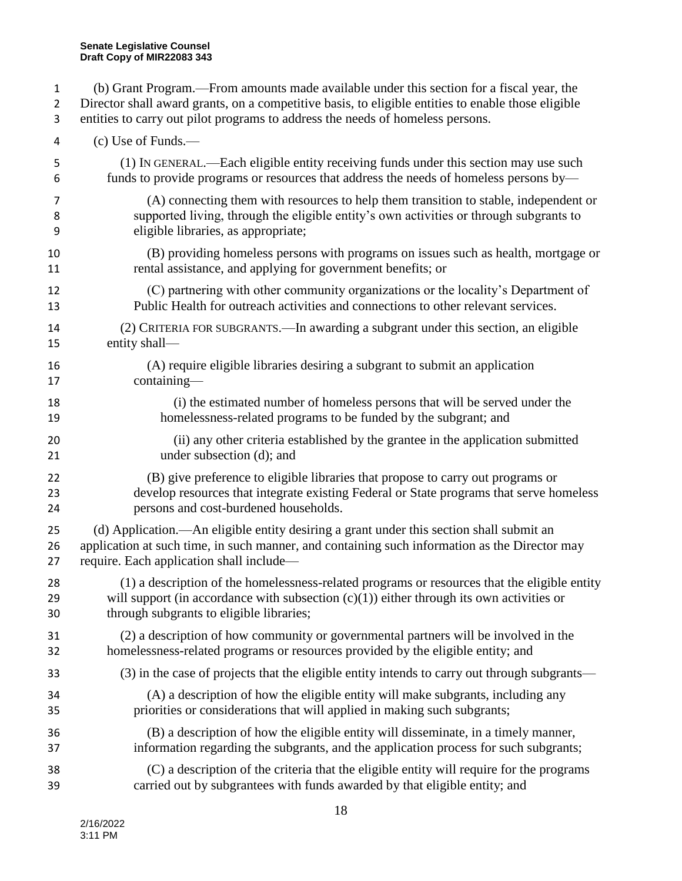| $\mathbf{1}$   | (b) Grant Program.—From amounts made available under this section for a fiscal year, the           |
|----------------|----------------------------------------------------------------------------------------------------|
| $\overline{2}$ | Director shall award grants, on a competitive basis, to eligible entities to enable those eligible |
| 3              | entities to carry out pilot programs to address the needs of homeless persons.                     |
| 4              | $(c)$ Use of Funds.—                                                                               |
| 5              | (1) IN GENERAL.—Each eligible entity receiving funds under this section may use such               |
| 6              | funds to provide programs or resources that address the needs of homeless persons by-              |
| 7              | (A) connecting them with resources to help them transition to stable, independent or               |
| 8              | supported living, through the eligible entity's own activities or through subgrants to             |
| 9              | eligible libraries, as appropriate;                                                                |
| 10             | (B) providing homeless persons with programs on issues such as health, mortgage or                 |
| 11             | rental assistance, and applying for government benefits; or                                        |
| 12             | (C) partnering with other community organizations or the locality's Department of                  |
| 13             | Public Health for outreach activities and connections to other relevant services.                  |
| 14             | (2) CRITERIA FOR SUBGRANTS.—In awarding a subgrant under this section, an eligible                 |
| 15             | entity shall-                                                                                      |
| 16             | (A) require eligible libraries desiring a subgrant to submit an application                        |
| 17             | containing-                                                                                        |
| 18             | (i) the estimated number of homeless persons that will be served under the                         |
| 19             | homelessness-related programs to be funded by the subgrant; and                                    |
| 20             | (ii) any other criteria established by the grantee in the application submitted                    |
| 21             | under subsection (d); and                                                                          |
| 22             | (B) give preference to eligible libraries that propose to carry out programs or                    |
| 23             | develop resources that integrate existing Federal or State programs that serve homeless            |
| 24             | persons and cost-burdened households.                                                              |
| 25             | (d) Application.—An eligible entity desiring a grant under this section shall submit an            |
| 26             | application at such time, in such manner, and containing such information as the Director may      |
| 27             | require. Each application shall include—                                                           |
| 28             | (1) a description of the homelessness-related programs or resources that the eligible entity       |
| 29             | will support (in accordance with subsection $(c)(1)$ ) either through its own activities or        |
| 30             | through subgrants to eligible libraries;                                                           |
| 31             | (2) a description of how community or governmental partners will be involved in the                |
| 32             | homelessness-related programs or resources provided by the eligible entity; and                    |
| 33             | (3) in the case of projects that the eligible entity intends to carry out through subgrants—       |
| 34             | (A) a description of how the eligible entity will make subgrants, including any                    |
| 35             | priorities or considerations that will applied in making such subgrants;                           |
| 36             | (B) a description of how the eligible entity will disseminate, in a timely manner,                 |
| 37             | information regarding the subgrants, and the application process for such subgrants;               |
| 38             | (C) a description of the criteria that the eligible entity will require for the programs           |
| 39             | carried out by subgrantees with funds awarded by that eligible entity; and                         |
|                |                                                                                                    |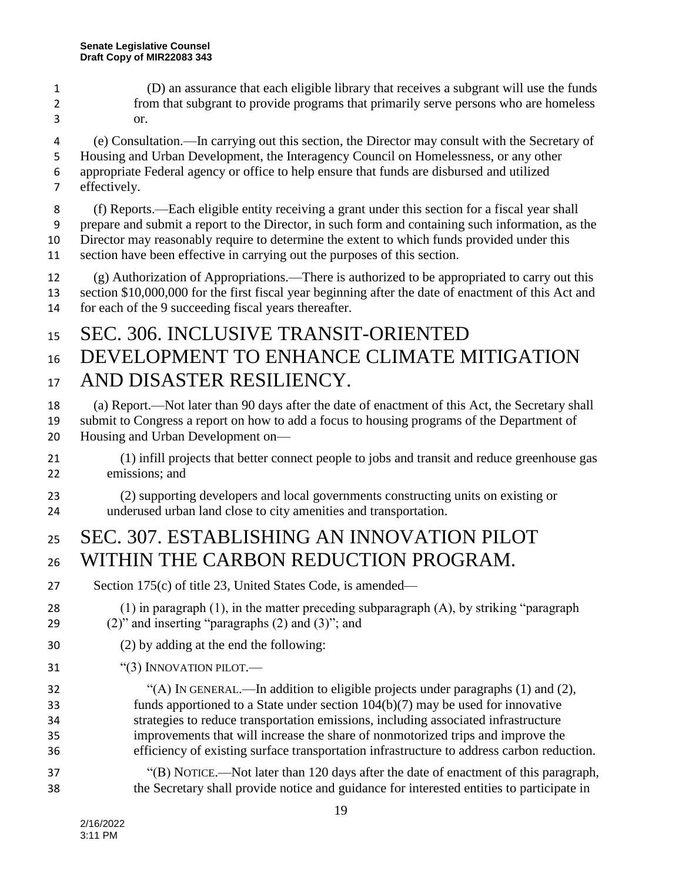- (D) an assurance that each eligible library that receives a subgrant will use the funds from that subgrant to provide programs that primarily serve persons who are homeless or.
- (e) Consultation.—In carrying out this section, the Director may consult with the Secretary of Housing and Urban Development, the Interagency Council on Homelessness, or any other appropriate Federal agency or office to help ensure that funds are disbursed and utilized
- effectively.

 (f) Reports.—Each eligible entity receiving a grant under this section for a fiscal year shall prepare and submit a report to the Director, in such form and containing such information, as the Director may reasonably require to determine the extent to which funds provided under this

section have been effective in carrying out the purposes of this section.

 (g) Authorization of Appropriations.—There is authorized to be appropriated to carry out this section \$10,000,000 for the first fiscal year beginning after the date of enactment of this Act and for each of the 9 succeeding fiscal years thereafter.

#### SEC. 306. INCLUSIVE TRANSIT-ORIENTED

# 16 DEVELOPMENT TO ENHANCE CLIMATE MITIGATION AND DISASTER RESILIENCY.

- (a) Report.—Not later than 90 days after the date of enactment of this Act, the Secretary shall submit to Congress a report on how to add a focus to housing programs of the Department of
- Housing and Urban Development on—
- (1) infill projects that better connect people to jobs and transit and reduce greenhouse gas emissions; and
- (2) supporting developers and local governments constructing units on existing or underused urban land close to city amenities and transportation.

#### SEC. 307. ESTABLISHING AN INNOVATION PILOT 26 WITHIN THE CARBON REDUCTION PROGRAM.

- Section 175(c) of title 23, United States Code, is amended—
- (1) in paragraph (1), in the matter preceding subparagraph (A), by striking "paragraph (2)" and inserting "paragraphs (2) and (3)"; and
- (2) by adding at the end the following:
- 31 "(3) INNOVATION PILOT.—
- "(A) IN GENERAL.—In addition to eligible projects under paragraphs (1) and (2), funds apportioned to a State under section 104(b)(7) may be used for innovative strategies to reduce transportation emissions, including associated infrastructure improvements that will increase the share of nonmotorized trips and improve the efficiency of existing surface transportation infrastructure to address carbon reduction.
- "(B) NOTICE.—Not later than 120 days after the date of enactment of this paragraph, the Secretary shall provide notice and guidance for interested entities to participate in